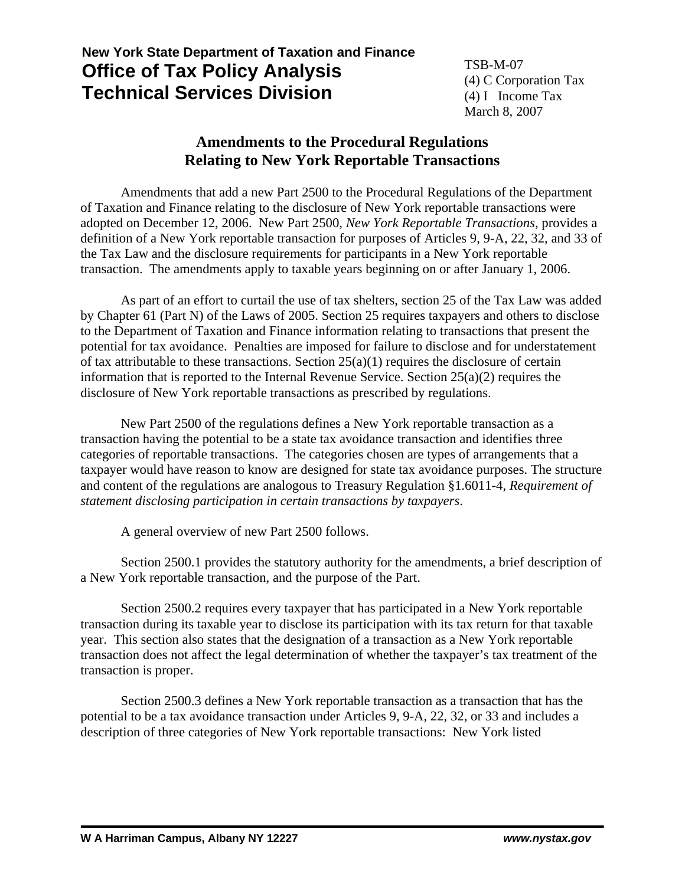## **New York State Department of Taxation and Finance Office of Tax Policy Analysis Technical Services Division**

TSB-M-07 (4) C Corporation Tax (4) I Income Tax March 8, 2007

## **Amendments to the Procedural Regulations Relating to New York Reportable Transactions**

Amendments that add a new Part 2500 to the Procedural Regulations of the Department of Taxation and Finance relating to the disclosure of New York reportable transactions were adopted on December 12, 2006. New Part 2500, *New York Reportable Transactions*, provides a definition of a New York reportable transaction for purposes of Articles 9, 9-A, 22, 32, and 33 of the Tax Law and the disclosure requirements for participants in a New York reportable transaction. The amendments apply to taxable years beginning on or after January 1, 2006.

As part of an effort to curtail the use of tax shelters, section 25 of the Tax Law was added by Chapter 61 (Part N) of the Laws of 2005. Section 25 requires taxpayers and others to disclose to the Department of Taxation and Finance information relating to transactions that present the potential for tax avoidance. Penalties are imposed for failure to disclose and for understatement of tax attributable to these transactions. Section  $25(a)(1)$  requires the disclosure of certain information that is reported to the Internal Revenue Service. Section 25(a)(2) requires the disclosure of New York reportable transactions as prescribed by regulations.

New Part 2500 of the regulations defines a New York reportable transaction as a transaction having the potential to be a state tax avoidance transaction and identifies three categories of reportable transactions. The categories chosen are types of arrangements that a taxpayer would have reason to know are designed for state tax avoidance purposes. The structure and content of the regulations are analogous to Treasury Regulation §1.6011-4, *Requirement of statement disclosing participation in certain transactions by taxpayers*.

A general overview of new Part 2500 follows.

Section 2500.1 provides the statutory authority for the amendments, a brief description of a New York reportable transaction, and the purpose of the Part.

Section 2500.2 requires every taxpayer that has participated in a New York reportable transaction during its taxable year to disclose its participation with its tax return for that taxable year. This section also states that the designation of a transaction as a New York reportable transaction does not affect the legal determination of whether the taxpayer's tax treatment of the transaction is proper.

Section 2500.3 defines a New York reportable transaction as a transaction that has the potential to be a tax avoidance transaction under Articles 9, 9-A, 22, 32, or 33 and includes a description of three categories of New York reportable transactions: New York listed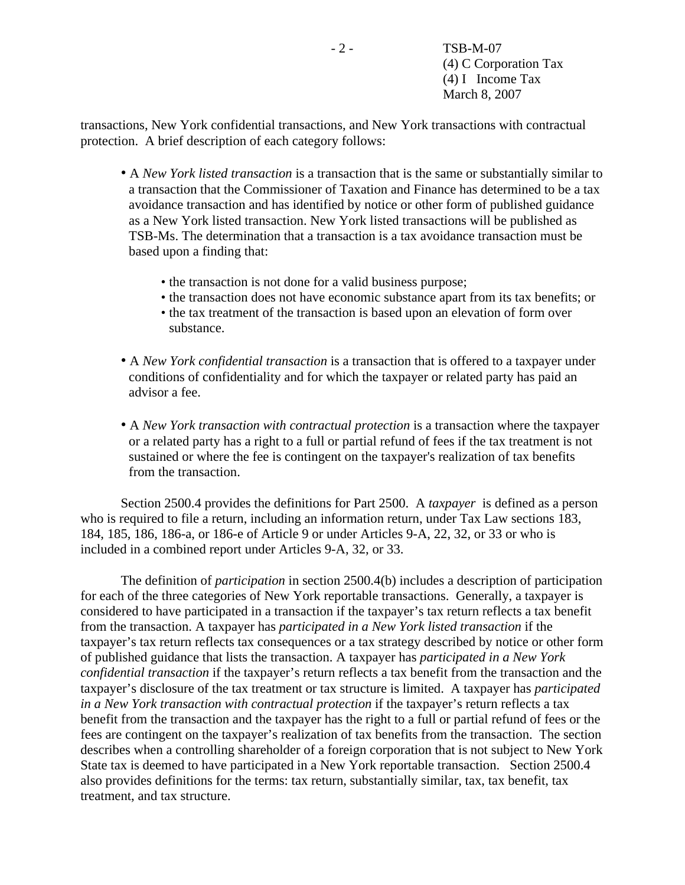transactions, New York confidential transactions, and New York transactions with contractual protection. A brief description of each category follows:

- A *New York listed transaction* is a transaction that is the same or substantially similar to a transaction that the Commissioner of Taxation and Finance has determined to be a tax avoidance transaction and has identified by notice or other form of published guidance as a New York listed transaction. New York listed transactions will be published as TSB-Ms. The determination that a transaction is a tax avoidance transaction must be based upon a finding that:
	- the transaction is not done for a valid business purpose;
	- the transaction does not have economic substance apart from its tax benefits; or
	- the tax treatment of the transaction is based upon an elevation of form over substance.
- A *New York confidential transaction* is a transaction that is offered to a taxpayer under conditions of confidentiality and for which the taxpayer or related party has paid an advisor a fee.
- A *New York transaction with contractual protection* is a transaction where the taxpayer or a related party has a right to a full or partial refund of fees if the tax treatment is not sustained or where the fee is contingent on the taxpayer's realization of tax benefits from the transaction.

Section 2500.4 provides the definitions for Part 2500. A *taxpayer* is defined as a person who is required to file a return, including an information return, under Tax Law sections 183, 184, 185, 186, 186-a, or 186-e of Article 9 or under Articles 9-A, 22, 32, or 33 or who is included in a combined report under Articles 9-A, 32, or 33.

The definition of *participation* in section 2500.4(b) includes a description of participation for each of the three categories of New York reportable transactions. Generally, a taxpayer is considered to have participated in a transaction if the taxpayer's tax return reflects a tax benefit from the transaction. A taxpayer has *participated in a New York listed transaction* if the taxpayer's tax return reflects tax consequences or a tax strategy described by notice or other form of published guidance that lists the transaction. A taxpayer has *participated in a New York confidential transaction* if the taxpayer's return reflects a tax benefit from the transaction and the taxpayer's disclosure of the tax treatment or tax structure is limited. A taxpayer has *participated in a New York transaction with contractual protection* if the taxpayer's return reflects a tax benefit from the transaction and the taxpayer has the right to a full or partial refund of fees or the fees are contingent on the taxpayer's realization of tax benefits from the transaction. The section describes when a controlling shareholder of a foreign corporation that is not subject to New York State tax is deemed to have participated in a New York reportable transaction. Section 2500.4 also provides definitions for the terms: tax return, substantially similar, tax, tax benefit, tax treatment, and tax structure.